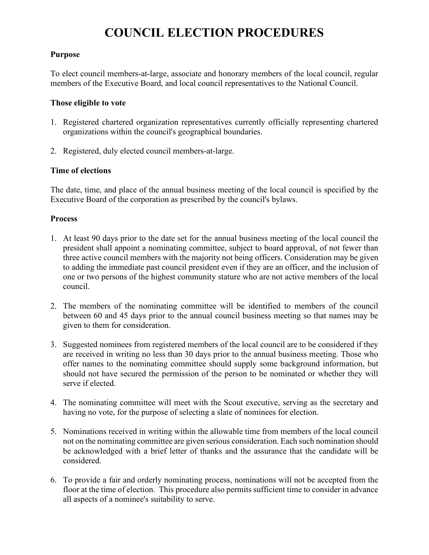# **COUNCIL ELECTION PROCEDURES**

## **Purpose**

To elect council members-at-large, associate and honorary members of the local council, regular members of the Executive Board, and local council representatives to the National Council.

## **Those eligible to vote**

- 1. Registered chartered organization representatives currently officially representing chartered organizations within the council's geographical boundaries.
- 2. Registered, duly elected council members-at-large.

## **Time of elections**

The date, time, and place of the annual business meeting of the local council is specified by the Executive Board of the corporation as prescribed by the council's bylaws.

#### **Process**

- 1. At least 90 days prior to the date set for the annual business meeting of the local council the president shall appoint a nominating committee, subject to board approval, of not fewer than three active council members with the majority not being officers. Consideration may be given to adding the immediate past council president even if they are an officer, and the inclusion of one or two persons of the highest community stature who are not active members of the local council.
- 2. The members of the nominating committee will be identified to members of the council between 60 and 45 days prior to the annual council business meeting so that names may be given to them for consideration.
- 3. Suggested nominees from registered members of the local council are to be considered if they are received in writing no less than 30 days prior to the annual business meeting. Those who offer names to the nominating committee should supply some background information, but should not have secured the permission of the person to be nominated or whether they will serve if elected.
- 4. The nominating committee will meet with the Scout executive, serving as the secretary and having no vote, for the purpose of selecting a slate of nominees for election.
- 5. Nominations received in writing within the allowable time from members of the local council not on the nominating committee are given serious consideration. Each such nomination should be acknowledged with a brief letter of thanks and the assurance that the candidate will be considered.
- 6. To provide a fair and orderly nominating process, nominations will not be accepted from the floor at the time of election. This procedure also permits sufficient time to consider in advance all aspects of a nominee's suitability to serve.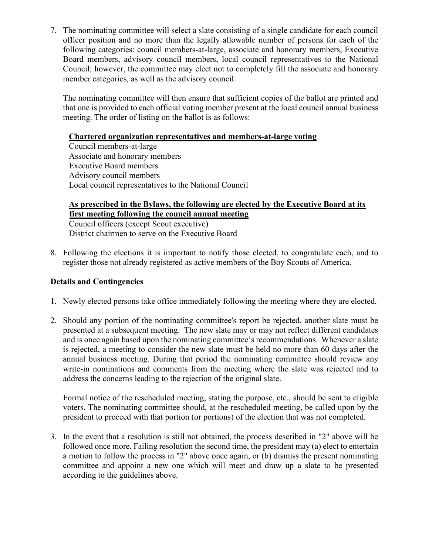7. The nominating committee will select a slate consisting of a single candidate for each council officer position and no more than the legally allowable number of persons for each of the following categories: council members-at-large, associate and honorary members, Executive Board members, advisory council members, local council representatives to the National Council; however, the committee may elect not to completely fill the associate and honorary member categories, as well as the advisory council.

The nominating committee will then ensure that sufficient copies of the ballot are printed and that one is provided to each official voting member present at the local council annual business meeting. The order of listing on the ballot is as follows:

# **Chartered organization representatives and members-at-large voting**

Council members-at-large Associate and honorary members Executive Board members Advisory council members Local council representatives to the National Council

## **As prescribed in the Bylaws, the following are elected by the Executive Board at its first meeting following the council annual meeting**

Council officers (except Scout executive) District chairmen to serve on the Executive Board

8. Following the elections it is important to notify those elected, to congratulate each, and to register those not already registered as active members of the Boy Scouts of America.

# **Details and Contingencies**

- 1. Newly elected persons take office immediately following the meeting where they are elected.
- 2. Should any portion of the nominating committee's report be rejected, another slate must be presented at a subsequent meeting. The new slate may or may not reflect different candidates and is once again based upon the nominating committee's recommendations. Whenever a slate is rejected, a meeting to consider the new slate must be held no more than 60 days after the annual business meeting. During that period the nominating committee should review any write-in nominations and comments from the meeting where the slate was rejected and to address the concerns leading to the rejection of the original slate.

Formal notice of the rescheduled meeting, stating the purpose, etc., should be sent to eligible voters. The nominating committee should, at the rescheduled meeting, be called upon by the president to proceed with that portion (or portions) of the election that was not completed.

3. In the event that a resolution is still not obtained, the process described in "2" above will be followed once more. Failing resolution the second time, the president may (a) elect to entertain a motion to follow the process in "2" above once again, or (b) dismiss the present nominating committee and appoint a new one which will meet and draw up a slate to be presented according to the guidelines above.